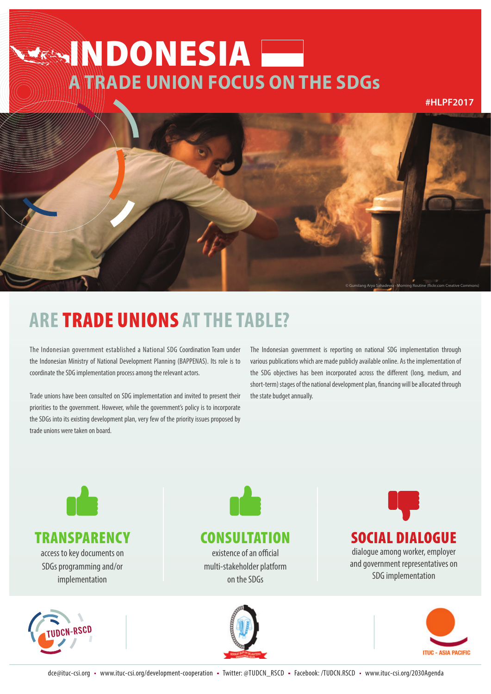# **EXAMPONESIA A TRADE UNION FOCUS ON THE SDGs**

**#HLPF2017**



## **ARE** TRADE UNIONS **AT THE TABLE?**

The Indonesian government established a National SDG Coordination Team under the Indonesian Ministry of National Development Planning (BAPPENAS). Its role is to coordinate the SDG implementation process among the relevant actors.

Trade unions have been consulted on SDG implementation and invited to present their priorities to the government. However, while the government's policy is to incorporate the SDGs into its existing development plan, very few of the priority issues proposed by trade unions were taken on board.

The Indonesian government is reporting on national SDG implementation through various publications which are made publicly available online. As the implementation of the SDG objectives has been incorporated across the different (long, medium, and short-term) stages of the national development plan, financing will be allocated through the state budget annually.